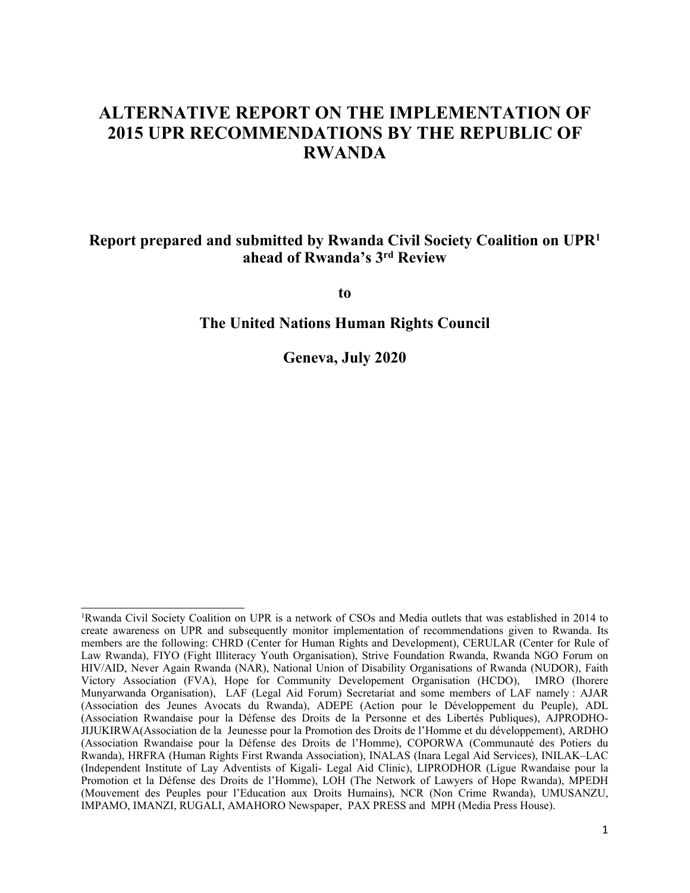# **ALTERNATIVE REPORT ON THE IMPLEMENTATION OF 2015 UPR RECOMMENDATIONS BY THE REPUBLIC OF RWANDA**

### **Report prepared and submitted by Rwanda Civil Society Coalition on UPR<sup>1</sup> ahead of Rwanda'<sup>s</sup> 3rd Review**

**to**

**The United Nations Human Rights Council**

**Geneva, July 2020**

<sup>1</sup>Rwanda Civil Society Coalition on UPR is <sup>a</sup> network of CSOs and Media outlets that was established in 2014 to create awareness on UPR and subsequently monitor implementation of recommendations given to Rwanda. Its members are the following: CHRD (Center for Human Rights and Development), CERULAR (Center for Rule of Law Rwanda), FIYO (Fight Illiteracy Youth Organisation), Strive Foundation Rwanda, Rwanda NGO Forum on HIV/AID, Never Again Rwanda (NAR), National Union of Disability Organisations of Rwanda (NUDOR), Faith Victory Association (FVA), Hope for Community Developement Organisation (HCDO), IMRO (Ihorere Munyarwanda Organisation), LAF (Legal Aid Forum) Secretariat and some members of LAF namely : AJAR (Association des Jeunes Avocats du Rwanda), ADEPE (Action pour le Développement du Peuple), ADL (Association Rwandaise pour la Défense des Droits de la Personne et des Libertés Publiques), AJPRODHO-JIJUKIRWA(Association de la Jeunesse pour la Promotion des Droits de l'Homme et du développement), ARDHO (Association Rwandaise pour la Défense des Droits de l'Homme), COPORWA (Communauté des Potiers du Rwanda), HRFRA (Human Rights First Rwanda Association), INALAS (Inara Legal Aid Services), INILAK–LAC (Independent Institute of Lay Adventists of Kigali- Legal Aid Clinic), LIPRODHOR (Ligue Rwandaise pour la Promotion et la Défense des Droits de l'Homme), LOH (The Network of Lawyers of Hope Rwanda), MPEDH (Mouvement des Peuples pour l'Education aux Droits Humains), NCR (Non Crime Rwanda), UMUSANZU, IMPAMO, IMANZI, RUGALI, AMAHORO Newspaper, PAX PRESS and MPH (Media Press House).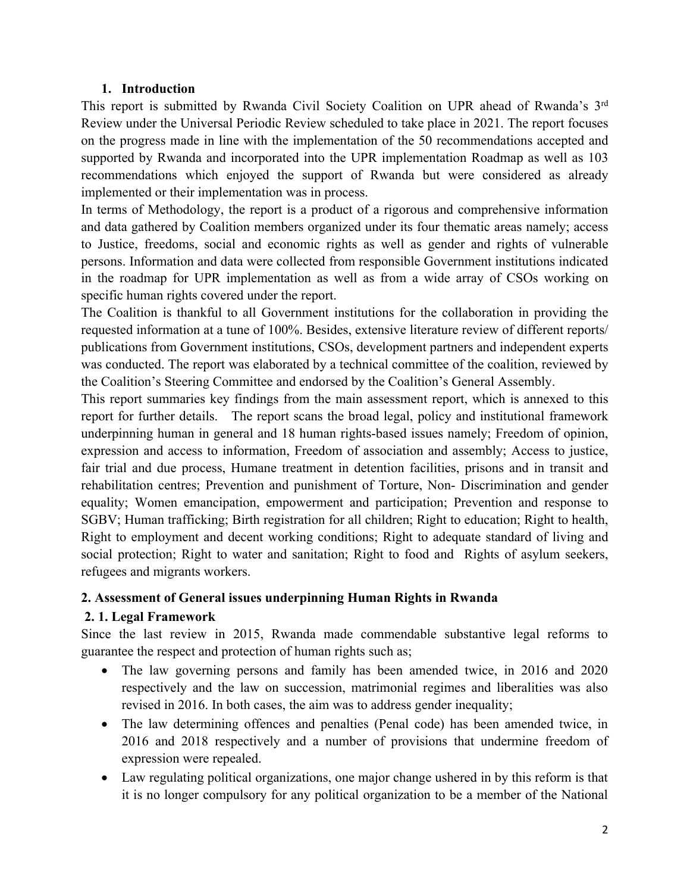#### **1. Introduction**

This repor<sup>t</sup> is submitted by Rwanda Civil Society Coalition on UPR ahead of Rwanda'<sup>s</sup> 3rd Review under the Universal Periodic Review scheduled to take place in 2021. The repor<sup>t</sup> focuses on the progress made in line with the implementation of the 50 recommendations accepted and supported by Rwanda and incorporated into the UPR implementation Roadmap as well as 103 recommendations which enjoyed the suppor<sup>t</sup> of Rwanda but were considered as already implemented or their implementation was in process.

In terms of Methodology, the repor<sup>t</sup> is <sup>a</sup> product of <sup>a</sup> rigorous and comprehensive information and data gathered by Coalition members organized under its four thematic areas namely; access to Justice, freedoms, social and economic rights as well as gender and rights of vulnerable persons. Information and data were collected from responsible Government institutions indicated in the roadmap for UPR implementation as well as from <sup>a</sup> wide array of CSOs working on specific human rights covered under the report.

The Coalition is thankful to all Government institutions for the collaboration in providing the requested information at <sup>a</sup> tune of 100%. Besides, extensive literature review of different reports/ publications from Government institutions, CSOs, development partners and independent experts was conducted. The repor<sup>t</sup> was elaborated by <sup>a</sup> technical committee of the coalition, reviewed by the Coalition'<sup>s</sup> Steering Committee and endorsed by the Coalition'<sup>s</sup> General Assembly.

This repor<sup>t</sup> summaries key findings from the main assessment report, which is annexed to this repor<sup>t</sup> for further details. The repor<sup>t</sup> scans the broad legal, policy and institutional framework underpinning human in general and 18 human rights-based issues namely; Freedom of opinion, expression and access to information, Freedom of association and assembly; Access to justice, fair trial and due process, Humane treatment in detention facilities, prisons and in transit and rehabilitation centres; Prevention and punishment of Torture, Non- Discrimination and gender equality; Women emancipation, empowermen<sup>t</sup> and participation; Prevention and response to SGBV; Human trafficking; Birth registration for all children; Right to education; Right to health, Right to employment and decent working conditions; Right to adequate standard of living and social protection; Right to water and sanitation; Right to food and Rights of asylum seekers, refugees and migrants workers.

#### **2. Assessment of General issues underpinning Human Rights in Rwanda**

### **2. 1. Legal Framework**

Since the last review in 2015, Rwanda made commendable substantive legal reforms to guarantee the respec<sup>t</sup> and protection of human rights such as;

- The law governing persons and family has been amended twice, in 2016 and 2020 respectively and the law on succession, matrimonial regimes and liberalities was also revised in 2016. In both cases, the aim was to address gender inequality;
- The law determining offences and penalties (Penal code) has been amended twice, in 2016 and 2018 respectively and <sup>a</sup> number of provisions that undermine freedom of expression were repealed.
- Law regulating political organizations, one major change ushered in by this reform is that it is no longer compulsory for any political organization to be <sup>a</sup> member of the National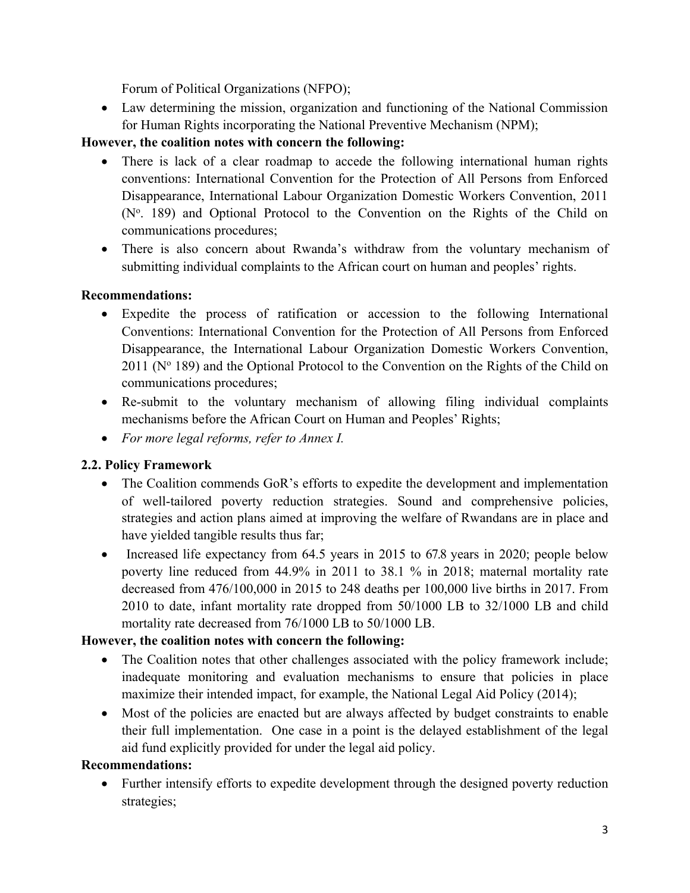Forum of Political Organizations (NFPO);

 Law determining the mission, organization and functioning of the National Commission for Human Rights incorporating the National Preventive Mechanism (NPM);

# **However, the coalition notes with concern the following:**

- $\bullet$  There is lack of <sup>a</sup> clear roadmap to accede the following international human rights conventions: International Convention for the Protection of All Persons from Enforced Disappearance, International Labour Organization Domestic Workers Convention, 2011  $(N<sup>o</sup>$ . 189) and Optional Protocol to the Convention on the Rights of the Child on communications procedures;
- There is also concern about Rwanda's withdraw from the voluntary mechanism of submitting individual complaints to the African court on human and peoples' rights.

### **Recommendations:**

- Expedite the process of ratification or accession to the following International Conventions: International Convention for the Protection of All Persons from Enforced Disappearance, the International Labour Organization Domestic Workers Convention,  $2011$  (N° 189) and the Optional Protocol to the Convention on the Rights of the Child on communications procedures;
- Re-submit to the voluntary mechanism of allowing filing individual complaints mechanisms before the African Court on Human and Peoples' Rights;
- *For more legal reforms, refer to Annex I.*

# **2.2. Policy Framework**

- The Coalition commends GoR's efforts to expedite the development and implementation of well-tailored poverty reduction strategies. Sound and comprehensive policies, strategies and action plans aimed at improving the welfare of Rwandans are in place and have yielded tangible results thus far;
- Increased life expectancy from 64.5 years in 2015 to 67.8 years in 2020; people below poverty line reduced from 44.9% in 2011 to 38.1 % in 2018; maternal mortality rate decreased from 476/100,000 in 2015 to 248 deaths per 100,000 live births in 2017. From 2010 to date, infant mortality rate dropped from 50/1000 LB to 32/1000 LB and child mortality rate decreased from 76/1000 LB to 50/1000 LB.

### **However, the coalition notes with concern the following:**

- The Coalition notes that other challenges associated with the policy framework include; inadequate monitoring and evaluation mechanisms to ensure that policies in place maximize their intended impact, for example, the National Legal Aid Policy (2014);
- Most of the policies are enacted but are always affected by budget constraints to enable their full implementation. One case in <sup>a</sup> point is the delayed establishment of the legal aid fund explicitly provided for under the legal aid policy.

### **Recommendations:**

 $\bullet$  Further intensify efforts to expedite development through the designed poverty reduction strategies;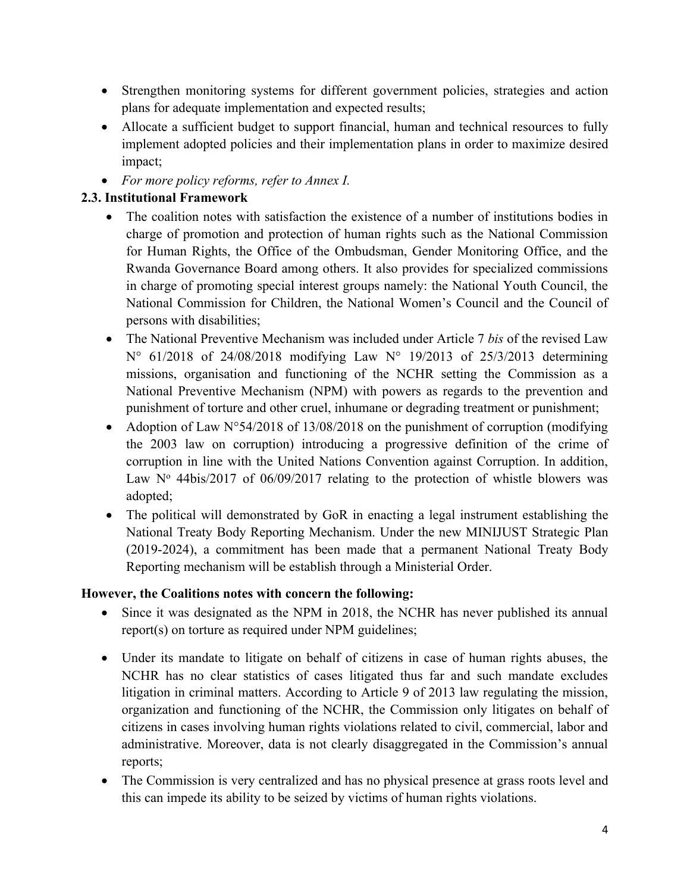- Strengthen monitoring systems for different governmen<sup>t</sup> policies, strategies and action plans for adequate implementation and expected results;
- Allocate <sup>a</sup> sufficient budget to suppor<sup>t</sup> financial, human and technical resources to fully implement adopted policies and their implementation plans in order to maximize desired impact;
- *For more policy reforms, refer to Annex I.*

### **2.3. Institutional Framework**

- The coalition notes with satisfaction the existence of a number of institutions bodies in charge of promotion and protection of human rights such as the National Commission for Human Rights, the Office of the Ombudsman, Gender Monitoring Office, and the Rwanda Governance Board among others. It also provides for specialized commissions in charge of promoting special interest groups namely: the National Youth Council, the National Commission for Children, the National Women'<sup>s</sup> Council and the Council of persons with disabilities;
- The National Preventive Mechanism was included under Article 7 *bis* of the revised Law N° 61/2018 of 24/08/2018 modifying Law N° 19/2013 of 25/3/2013 determining missions, organisation and functioning of the NCHR setting the Commission as <sup>a</sup> National Preventive Mechanism (NPM) with powers as regards to the prevention and punishment of torture and other cruel, inhumane or degrading treatment or punishment;
- Adoption of Law N°54/2018 of 13/08/2018 on the punishment of corruption (modifying the 2003 law on corruption) introducing <sup>a</sup> progressive definition of the crime of corruption in line with the United Nations Convention against Corruption. In addition, Law  $N^{\circ}$  44bis/2017 of 06/09/2017 relating to the protection of whistle blowers was adopted;
- The political will demonstrated by GoR in enacting <sup>a</sup> legal instrument establishing the National Treaty Body Reporting Mechanism. Under the new MINIJUST Strategic Plan (2019-2024), <sup>a</sup> commitment has been made that <sup>a</sup> permanen<sup>t</sup> National Treaty Body Reporting mechanism will be establish through <sup>a</sup> Ministerial Order.

#### **However, the Coalitions notes with concern the following:**

- Since it was designated as the NPM in 2018, the NCHR has never published its annual report(s) on torture as required under NPM guidelines;
- Under its mandate to litigate on behalf of citizens in case of human rights abuses, the NCHR has no clear statistics of cases litigated thus far and such mandate excludes litigation in criminal matters. According to Article 9 of 2013 law regulating the mission, organization and functioning of the NCHR, the Commission only litigates on behalf of citizens in cases involving human rights violations related to civil, commercial, labor and administrative. Moreover, data is not clearly disaggregated in the Commission'<sup>s</sup> annual reports;
- The Commission is very centralized and has no physical presence at grass roots level and this can impede its ability to be seized by victims of human rights violations.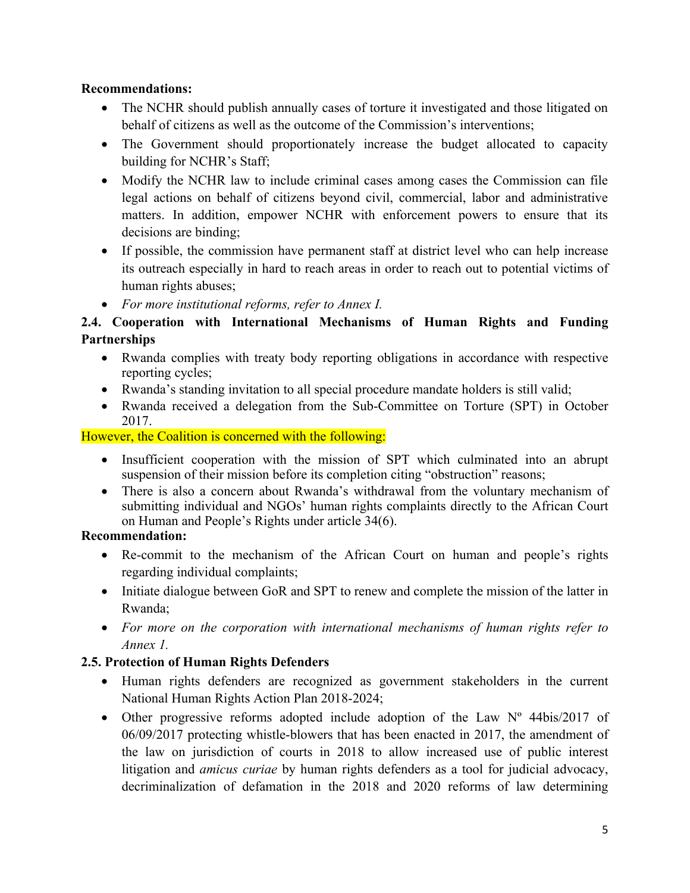#### **Recommendations:**

- The NCHR should publish annually cases of torture it investigated and those litigated on behalf of citizens as well as the outcome of the Commission'<sup>s</sup> interventions;
- The Government should proportionately increase the budget allocated to capacity building for NCHR'<sup>s</sup> Staff;
- Modify the NCHR law to include criminal cases among cases the Commission can file legal actions on behalf of citizens beyond civil, commercial, labor and administrative matters. In addition, empower NCHR with enforcement powers to ensure that its decisions are binding;
- If possible, the commission have permanen<sup>t</sup> staff at district level who can help increase its outreach especially in hard to reach areas in order to reach out to potential victims of human rights abuses;
- *For more institutional reforms, refer to Annex I.*

### **2.4. Cooperation with International Mechanisms of Human Rights and Funding Partnerships**

- Rwanda complies with treaty body reporting obligations in accordance with respective reporting cycles;
- Rwanda'<sup>s</sup> standing invitation to all special procedure mandate holders is still valid;
- Rwanda received <sup>a</sup> delegation from the Sub-Committee on Torture (SPT) in October 2017.

However, the Coalition is concerned with the following:

- Insufficient cooperation with the mission of SPT which culminated into an abrupt suspension of their mission before its completion citing "obstruction" reasons;
- There is also a concern about Rwanda's withdrawal from the voluntary mechanism of submitting individual and NGOs' human rights complaints directly to the African Court on Human and People'<sup>s</sup> Rights under article 34(6).

### **Recommendation:**

- Re-commit to the mechanism of the African Court on human and people's rights regarding individual complaints;
- Initiate dialogue between GoR and SPT to renew and complete the mission of the latter in Rwanda;
- *For more on the corporation with international mechanisms of human rights refer to Annex 1.*

### **2.5. Protection of Human Rights Defenders**

- Human rights defenders are recognized as governmen<sup>t</sup> stakeholders in the current National Human Rights Action Plan 2018-2024;
- Other progressive reforms adopted include adoption of the Law Nº 44bis/2017 of 06/09/2017 protecting whistle-blowers that has been enacted in 2017, the amendment of the law on jurisdiction of courts in 2018 to allow increased use of public interest litigation and *amicus curiae* by human rights defenders as <sup>a</sup> tool for judicial advocacy, decriminalization of defamation in the 2018 and 2020 reforms of law determining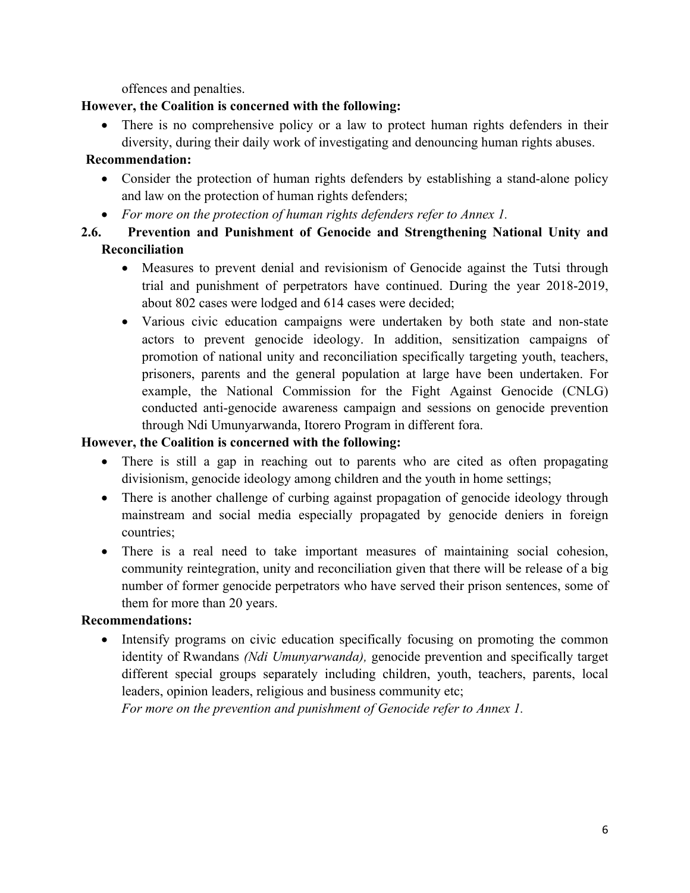offences and penalties.

### **However, the Coalition is concerned with the following:**

• There is no comprehensive policy or a law to protect human rights defenders in their diversity, during their daily work of investigating and denouncing human rights abuses.

### **Recommendation:**

- Consider the protection of human rights defenders by establishing <sup>a</sup> stand-alone policy and law on the protection of human rights defenders;
- *For more on the protection of human rights defenders refer to Annex 1.*
- **2.6. Prevention and Punishment of Genocide and Strengthening National Unity and Reconciliation**
	- Measures to preven<sup>t</sup> denial and revisionism of Genocide against the Tutsi through trial and punishment of perpetrators have continued. During the year 2018-2019, about 802 cases were lodged and 614 cases were decided;
	- Various civic education campaigns were undertaken by both state and non-state actors to preven<sup>t</sup> genocide ideology. In addition, sensitization campaigns of promotion of national unity and reconciliation specifically targeting youth, teachers, prisoners, parents and the general population at large have been undertaken. For example, the National Commission for the Fight Against Genocide (CNLG) conducted anti-genocide awareness campaign and sessions on genocide prevention through Ndi Umunyarwanda, Itorero Program in different fora.

### **However, the Coalition is concerned with the following:**

- There is still a gap in reaching out to parents who are cited as often propagating divisionism, genocide ideology among children and the youth in home settings;
- There is another challenge of curbing against propagation of genocide ideology through mainstream and social media especially propagated by genocide deniers in foreign countries;
- There is <sup>a</sup> real need to take important measures of maintaining social cohesion, community reintegration, unity and reconciliation given that there will be release of <sup>a</sup> big number of former genocide perpetrators who have served their prison sentences, some of them for more than 20 years.

### **Recommendations:**

• Intensify programs on civic education specifically focusing on promoting the common identity of Rwandans *(Ndi Umunyarwanda),* genocide prevention and specifically target different special groups separately including children, youth, teachers, parents, local leaders, opinion leaders, religious and business community etc;

*For more on the prevention and punishment of Genocide refer to Annex 1.*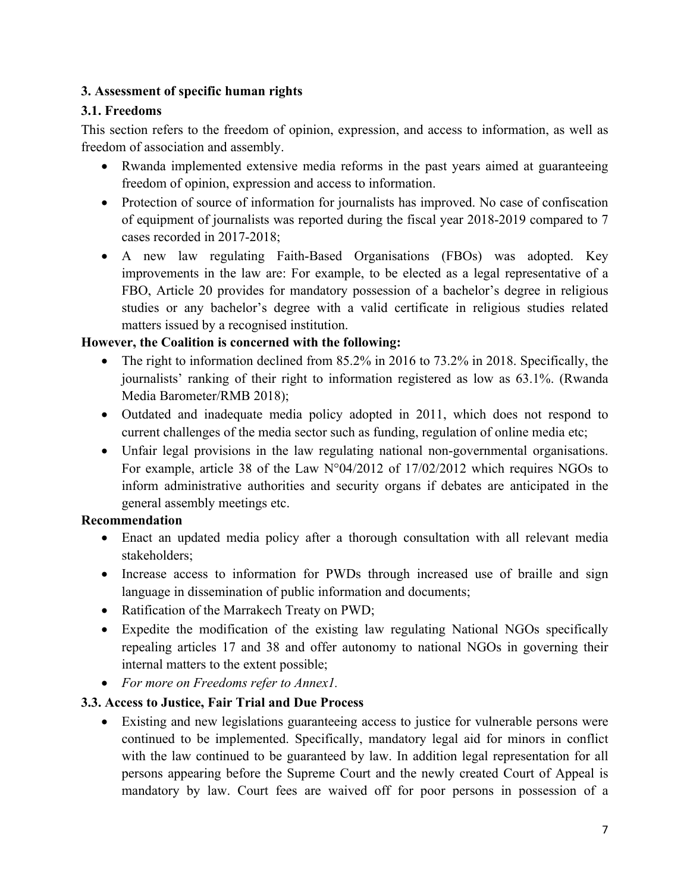### **3. Assessment of specific human rights**

### **3.1. Freedoms**

This section refers to the freedom of opinion, expression, and access to information, as well as freedom of association and assembly.

- Rwanda implemented extensive media reforms in the pas<sup>t</sup> years aimed at guaranteeing freedom of opinion, expression and access to information.
- Protection of source of information for journalists has improved. No case of confiscation of equipment of journalists was reported during the fiscal year 2018-2019 compared to 7 cases recorded in 2017-2018;
- A new law regulating Faith-Based Organisations (FBOs) was adopted. Key improvements in the law are: For example, to be elected as <sup>a</sup> legal representative of <sup>a</sup> FBO, Article 20 provides for mandatory possession of <sup>a</sup> bachelor'<sup>s</sup> degree in religious studies or any bachelor'<sup>s</sup> degree with <sup>a</sup> valid certificate in religious studies related matters issued by <sup>a</sup> recognised institution.

### **However, the Coalition is concerned with the following:**

- The right to information declined from 85.2% in 2016 to 73.2% in 2018. Specifically, the journalists' ranking of their right to information registered as low as 63.1%. (Rwanda Media Barometer/RMB 2018);
- Outdated and inadequate media policy adopted in 2011, which does not respond to current challenges of the media sector such as funding, regulation of online media etc;
- Unfair legal provisions in the law regulating national non-governmental organisations. For example, article 38 of the Law N°04/2012 of 17/02/2012 which requires NGOs to inform administrative authorities and security organs if debates are anticipated in the general assembly meetings etc.

#### **Recommendation**

- Enact an updated media policy after <sup>a</sup> thorough consultation with all relevant media stakeholders;
- Increase access to information for PWDs through increased use of braille and sign language in dissemination of public information and documents;
- Ratification of the Marrakech Treaty on PWD;
- Expedite the modification of the existing law regulating National NGOs specifically repealing articles 17 and 38 and offer autonomy to national NGOs in governing their internal matters to the extent possible;
- *For more on Freedoms refer to Annex1.*

### **3.3. Access to Justice, Fair Trial and Due Process**

 Existing and new legislations guaranteeing access to justice for vulnerable persons were continued to be implemented. Specifically, mandatory legal aid for minors in conflict with the law continued to be guaranteed by law. In addition legal representation for all persons appearing before the Supreme Court and the newly created Court of Appeal is mandatory by law. Court fees are waived off for poor persons in possession of <sup>a</sup>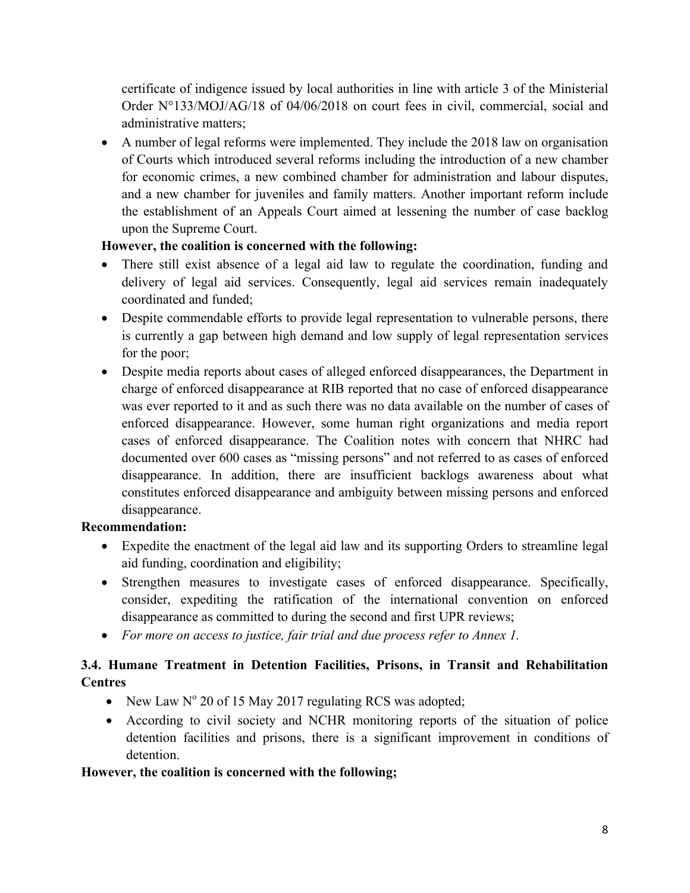certificate of indigence issued by local authorities in line with article 3 of the Ministerial Order N°133/MOJ/AG/18 of 04/06/2018 on court fees in civil, commercial, social and administrative matters;

 A number of legal reforms were implemented. They include the 2018 law on organisation of Courts which introduced several reforms including the introduction of <sup>a</sup> new chamber for economic crimes, <sup>a</sup> new combined chamber for administration and labour disputes, and <sup>a</sup> new chamber for juveniles and family matters. Another important reform include the establishment of an Appeals Court aimed at lessening the number of case backlog upon the Supreme Court.

### **However, the coalition is concerned with the following:**

- There still exist absence of <sup>a</sup> legal aid law to regulate the coordination, funding and delivery of legal aid services. Consequently, legal aid services remain inadequately coordinated and funded;
- Despite commendable efforts to provide legal representation to vulnerable persons, there is currently <sup>a</sup> gap between high demand and low supply of legal representation services for the poor;
- Despite media reports about cases of alleged enforced disappearances, the Department in charge of enforced disappearance at RIB reported that no case of enforced disappearance was ever reported to it and as such there was no data available on the number of cases of enforced disappearance. However, some human right organizations and media repor<sup>t</sup> cases of enforced disappearance. The Coalition notes with concern that NHRC had documented over 600 cases as "missing persons" and not referred to as cases of enforced disappearance. In addition, there are insufficient backlogs awareness about what constitutes enforced disappearance and ambiguity between missing persons and enforced disappearance.

### **Recommendation:**

- Expedite the enactment of the legal aid law and its supporting Orders to streamline legal aid funding, coordination and eligibility;
- Strengthen measures to investigate cases of enforced disappearance. Specifically, consider, expediting the ratification of the international convention on enforced disappearance as committed to during the second and first UPR reviews;
- *For more on access to justice, fair trial and due process refer to Annex 1.*

# **3.4. Humane Treatment in Detention Facilities, Prisons, in Transit and Rehabilitation Centres**

- New Law  $N^{\circ}$  20 of 15 May 2017 regulating RCS was adopted;
- According to civil society and NCHR monitoring reports of the situation of police detention facilities and prisons, there is <sup>a</sup> significant improvement in conditions of detention.

# **However, the coalition is concerned with the following;**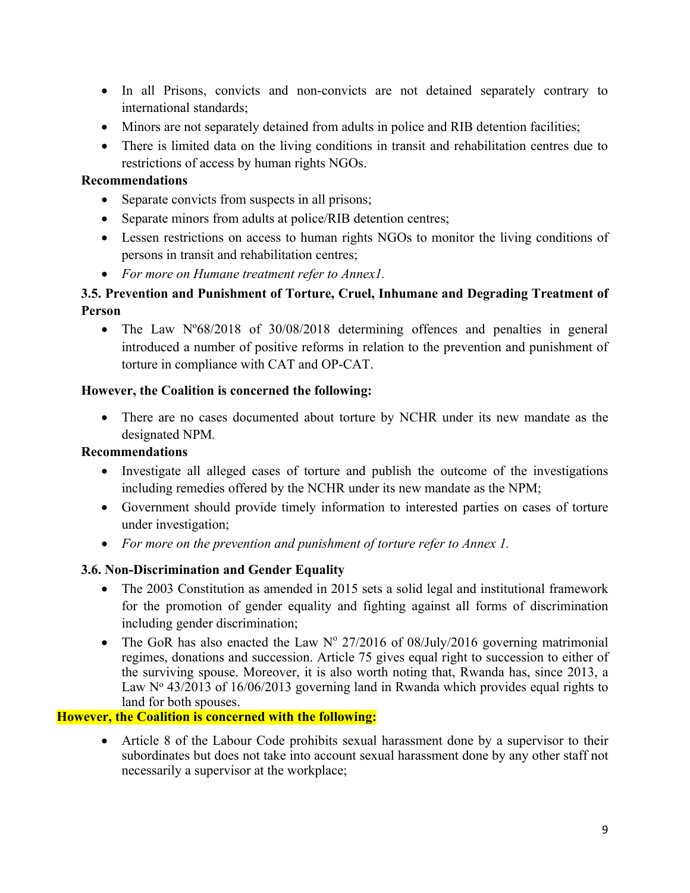- In all Prisons, convicts and non-convicts are not detained separately contrary to international standards;
- Minors are not separately detained from adults in police and RIB detention facilities;
- There is limited data on the living conditions in transit and rehabilitation centres due to restrictions of access by human rights NGOs.

#### **Recommendations**

- Separate convicts from suspects in all prisons;
- Separate minors from adults at police/RIB detention centres;
- Lessen restrictions on access to human rights NGOs to monitor the living conditions of persons in transit and rehabilitation centres;
- *For more on Humane treatment refer to Annex1.*

### **3.5. Prevention and Punishment of Torture, Cruel, Inhumane and Degrading Treatment of Person**

• The Law N°68/2018 of 30/08/2018 determining offences and penalties in general introduced <sup>a</sup> number of positive reforms in relation to the prevention and punishment of torture in compliance with CAT and OP-CAT.

#### **However, the Coalition is concerned the following:**

• There are no cases documented about torture by NCHR under its new mandate as the designated NPM*.*

#### **Recommendations**

- Investigate all alleged cases of torture and publish the outcome of the investigations including remedies offered by the NCHR under its new mandate as the NPM;
- Government should provide timely information to interested parties on cases of torture under investigation;
- *For more on the prevention and punishment of torture refer to Annex 1.*

#### **3.6. Non-Discrimination and Gender Equality**

- The 2003 Constitution as amended in 2015 sets a solid legal and institutional framework for the promotion of gender equality and fighting against all forms of discrimination including gender discrimination;
- The GoR has also enacted the Law  $N^{\circ}$  27/2016 of 08/July/2016 governing matrimonial regimes, donations and succession. Article 75 gives equal right to succession to either of the surviving spouse. Moreover, it is also worth noting that, Rwanda has, since 2013, <sup>a</sup> Law  $N^{\circ}$  43/2013 of 16/06/2013 governing land in Rwanda which provides equal rights to land for both spouses.

#### **However, the Coalition is concerned with the following:**

 Article 8 of the Labour Code prohibits sexual harassment done by <sup>a</sup> supervisor to their subordinates but does not take into account sexual harassment done by any other staff not necessarily <sup>a</sup> supervisor at the workplace;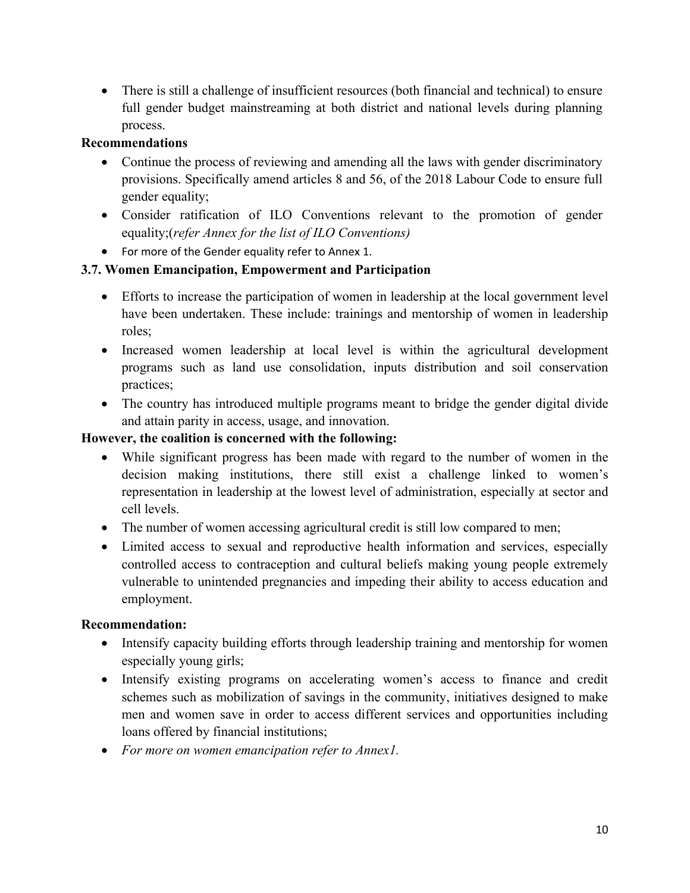There is still <sup>a</sup> challenge of insufficient resources (both financial and technical) to ensure full gender budget mainstreaming at both district and national levels during planning process.

### **Recommendations**

- Continue the process of reviewing and amending all the laws with gender discriminatory provisions. Specifically amend articles 8 and 56, of the 2018 Labour Code to ensure full gender equality;
- Consider ratification of ILO Conventions relevant to the promotion of gender equality;(*refer Annex for the list of ILO Conventions)*
- For more of the Gender equality refer to Annex 1.

### **3.7. Women Emancipation, Empowerment and Participation**

- Efforts to increase the participation of women in leadership at the local governmen<sup>t</sup> level have been undertaken. These include: trainings and mentorship of women in leadership roles;
- Increased women leadership at local level is within the agricultural development programs such as land use consolidation, inputs distribution and soil conservation practices;
- The country has introduced multiple programs meant to bridge the gender digital divide and attain parity in access, usage, and innovation.

### **However, the coalition is concerned with the following:**

- While significant progress has been made with regard to the number of women in the decision making institutions, there still exist <sup>a</sup> challenge linked to women'<sup>s</sup> representation in leadership at the lowest level of administration, especially at sector and cell levels.
- The number of women accessing agricultural credit is still low compared to men;
- Limited access to sexual and reproductive health information and services, especially controlled access to contraception and cultural beliefs making young people extremely vulnerable to unintended pregnancies and impeding their ability to access education and employment.

#### **Recommendation:**

- Intensify capacity building efforts through leadership training and mentorship for women especially young girls;
- Intensify existing programs on accelerating women's access to finance and credit schemes such as mobilization of savings in the community, initiatives designed to make men and women save in order to access different services and opportunities including loans offered by financial institutions;
- *For more on women emancipation refer to Annex1.*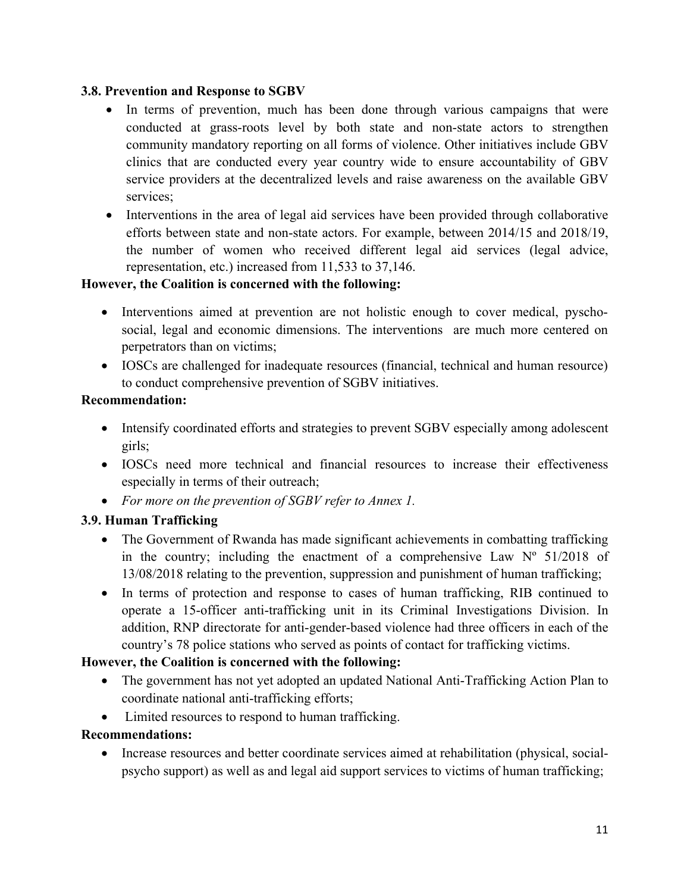#### **3.8. Prevention and Response to SGBV**

- In terms of prevention, much has been done through various campaigns that were conducted at grass-roots level by both state and non-state actors to strengthen community mandatory reporting on all forms of violence. Other initiatives include GBV clinics that are conducted every year country wide to ensure accountability of GBV service providers at the decentralized levels and raise awareness on the available GBV services;
- Interventions in the area of legal aid services have been provided through collaborative efforts between state and non-state actors. For example, between 2014/15 and 2018/19, the number of women who received different legal aid services (legal advice, representation, etc.) increased from 11,533 to 37,146.

### **However, the Coalition is concerned with the following:**

- Interventions aimed at prevention are not holistic enough to cover medical, pyschosocial, legal and economic dimensions. The interventions are much more centered on perpetrators than on victims;
- IOSCs are challenged for inadequate resources (financial, technical and human resource) to conduct comprehensive prevention of SGBV initiatives.

### **Recommendation:**

- Intensify coordinated efforts and strategies to prevent SGBV especially among adolescent girls;
- IOSCs need more technical and financial resources to increase their effectiveness especially in terms of their outreach;
- *For more on the prevention of SGBV refer to Annex 1.*

### **3.9. Human Trafficking**

- The Government of Rwanda has made significant achievements in combatting trafficking in the country; including the enactment of a comprehensive Law  $N^{\circ}$  51/2018 of 13/08/2018 relating to the prevention, suppression and punishment of human trafficking;
- In terms of protection and response to cases of human trafficking, RIB continued to operate <sup>a</sup> 15-officer anti-trafficking unit in its Criminal Investigations Division. In addition, RNP directorate for anti-gender-based violence had three officers in each of the country'<sup>s</sup> 78 police stations who served as points of contact for trafficking victims.

### **However, the Coalition is concerned with the following:**

- The government has not yet adopted an updated National Anti-Trafficking Action Plan to coordinate national anti-trafficking efforts;
- Limited resources to respond to human trafficking.

### **Recommendations:**

 Increase resources and better coordinate services aimed at rehabilitation (physical, socialpsycho support) as well as and legal aid suppor<sup>t</sup> services to victims of human trafficking;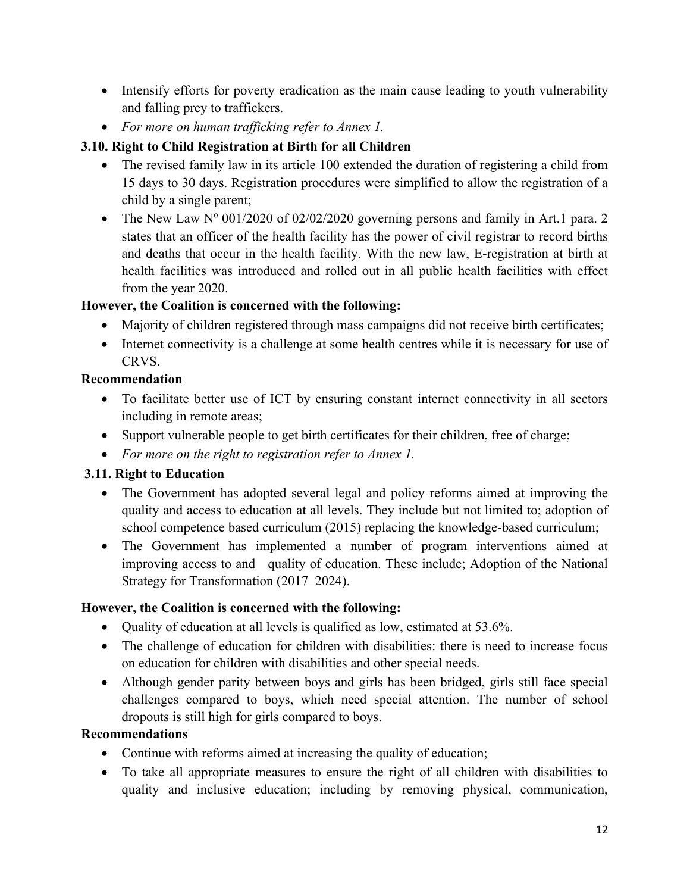- Intensify efforts for poverty eradication as the main cause leading to youth vulnerability and falling prey to traffickers.
- *For more on human trafficking refer to Annex 1.*

### **3.10. Right to Child Registration at Birth for all Children**

- The revised family law in its article 100 extended the duration of registering <sup>a</sup> child from 15 days to 30 days. Registration procedures were simplified to allow the registration of <sup>a</sup> child by <sup>a</sup> single parent;
- The New Law  $N^{\circ}$  001/2020 of 02/02/2020 governing persons and family in Art.1 para. 2 states that an officer of the health facility has the power of civil registrar to record births and deaths that occur in the health facility. With the new law, E-registration at birth at health facilities was introduced and rolled out in all public health facilities with effect from the year 2020.

### **However, the Coalition is concerned with the following:**

- Majority of children registered through mass campaigns did not receive birth certificates;
- Internet connectivity is a challenge at some health centres while it is necessary for use of CRVS.

### **Recommendation**

- To facilitate better use of ICT by ensuring constant internet connectivity in all sectors including in remote areas;
- Support vulnerable people to get birth certificates for their children, free of charge;
- *For more on the right to registration refer to Annex 1.*

### **3.11. Right to Education**

- The Government has adopted several legal and policy reforms aimed at improving the quality and access to education at all levels. They include but not limited to; adoption of school competence based curriculum (2015) replacing the knowledge-based curriculum;
- The Government has implemented <sup>a</sup> number of program interventions aimed at improving access to and quality of education. These include; Adoption of the National Strategy for Transformation (2017–2024).

### **However, the Coalition is concerned with the following:**

- Quality of education at all levels is qualified as low, estimated at 53.6%.
- The challenge of education for children with disabilities: there is need to increase focus on education for children with disabilities and other special needs.
- Although gender parity between boys and girls has been bridged, girls still face special challenges compared to boys, which need special attention. The number of school dropouts is still high for girls compared to boys.

#### **Recommendations**

- Continue with reforms aimed at increasing the quality of education;
- To take all appropriate measures to ensure the right of all children with disabilities to quality and inclusive education; including by removing physical, communication,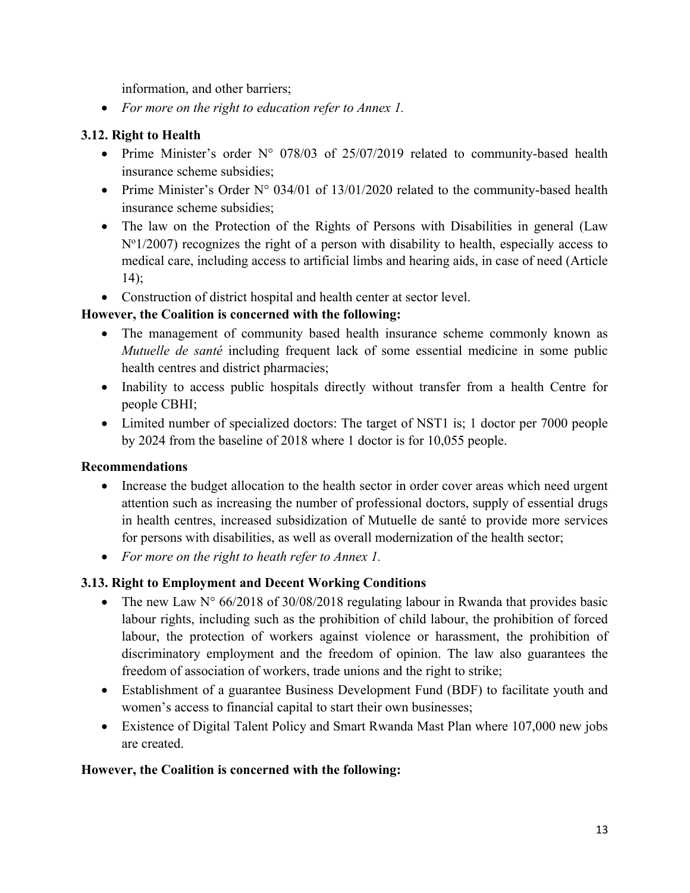information, and other barriers;

*For more on the right to education refer to Annex 1.*

### **3.12. Right to Health**

- Prime Minister's order N° 078/03 of 25/07/2019 related to community-based health insurance scheme subsidies;
- Prime Minister's Order N° 034/01 of 13/01/2020 related to the community-based health insurance scheme subsidies;
- The law on the Protection of the Rights of Persons with Disabilities in general (Law N°1/2007) recognizes the right of a person with disability to health, especially access to medical care, including access to artificial limbs and hearing aids, in case of need (Article 14);
- Construction of district hospital and health center at sector level.

### **However, the Coalition is concerned with the following:**

- The managemen<sup>t</sup> of community based health insurance scheme commonly known as *Mutuelle de santé* including frequent lack of some essential medicine in some public health centres and district pharmacies;
- Inability to access public hospitals directly without transfer from a health Centre for people CBHI;
- Limited number of specialized doctors: The target of NST1 is; 1 doctor per 7000 people by 2024 from the baseline of 2018 where 1 doctor is for 10,055 people.

#### **Recommendations**

- Increase the budget allocation to the health sector in order cover areas which need urgent attention such as increasing the number of professional doctors, supply of essential drugs in health centres, increased subsidization of Mutuelle de santé to provide more services for persons with disabilities, as well as overall modernization of the health sector;
- *For more on the right to heath refer to Annex 1.*

### **3.13. Right to Employment and Decent Working Conditions**

- The new Law N° 66/2018 of 30/08/2018 regulating labour in Rwanda that provides basic labour rights, including such as the prohibition of child labour, the prohibition of forced labour, the protection of workers against violence or harassment, the prohibition of discriminatory employment and the freedom of opinion. The law also guarantees the freedom of association of workers, trade unions and the right to strike;
- Establishment of <sup>a</sup> guarantee Business Development Fund (BDF) to facilitate youth and women'<sup>s</sup> access to financial capital to start their own businesses;
- Existence of Digital Talent Policy and Smart Rwanda Mast Plan where 107,000 new jobs are created.

#### **However, the Coalition is concerned with the following:**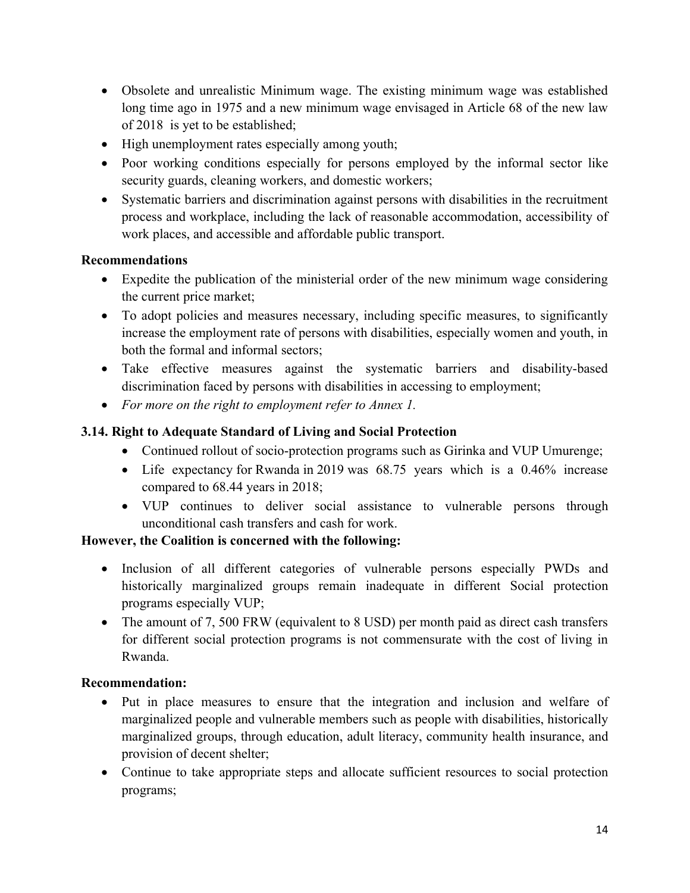- Obsolete and unrealistic Minimum wage. The existing minimum wage was established long time ago in 1975 and <sup>a</sup> new minimum wage envisaged in Article 68 of the new law of 2018 is ye<sup>t</sup> to be established;
- High unemployment rates especially among youth;
- Poor working conditions especially for persons employed by the informal sector like security guards, cleaning workers, and domestic workers;
- Systematic barriers and discrimination against persons with disabilities in the recruitment process and workplace, including the lack of reasonable accommodation, accessibility of work places, and accessible and affordable public transport.

### **Recommendations**

- Expedite the publication of the ministerial order of the new minimum wage considering the current price market;
- To adopt policies and measures necessary, including specific measures, to significantly increase the employment rate of persons with disabilities, especially women and youth, in both the formal and informal sectors;
- Take effective measures against the systematic barriers and disability-based discrimination faced by persons with disabilities in accessing to employment;
- *For more on the right to employment refer to Annex 1.*

## **3.14. Right to Adequate Standard of Living and Social Protection**

- Continued rollout of socio-protection programs such as Girinka and VUP Umurenge;
- Life expectancy for Rwanda in 2019 was 68.75 years which is a 0.46% increase compared to 68.44 years in 2018;
- VUP continues to deliver social assistance to vulnerable persons through unconditional cash transfers and cash for work.

### **However, the Coalition is concerned with the following:**

- Inclusion of all different categories of vulnerable persons especially PWDs and historically marginalized groups remain inadequate in different Social protection programs especially VUP;
- The amount of 7, 500 FRW (equivalent to 8 USD) per month paid as direct cash transfers for different social protection programs is not commensurate with the cost of living in Rwanda.

### **Recommendation:**

- Put in place measures to ensure that the integration and inclusion and welfare of marginalized people and vulnerable members such as people with disabilities, historically marginalized groups, through education, adult literacy, community health insurance, and provision of decent shelter;
- Continue to take appropriate steps and allocate sufficient resources to social protection programs;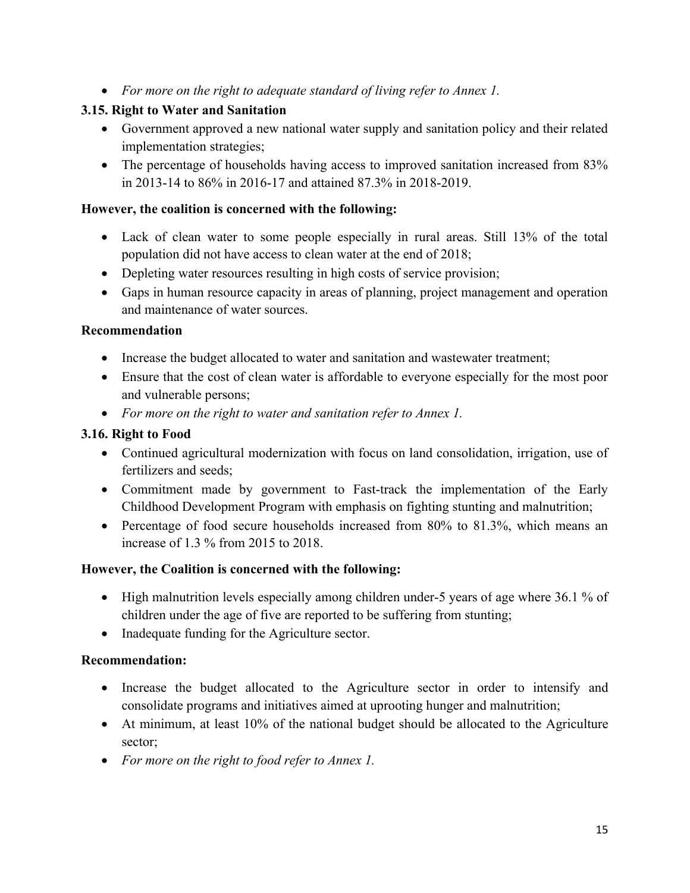*For more on the right to adequate standard of living refer to Annex 1.*

### **3.15. Right to Water and Sanitation**

- Government approved <sup>a</sup> new national water supply and sanitation policy and their related implementation strategies;
- The percentage of households having access to improved sanitation increased from 83% in 2013-14 to 86% in 2016-17 and attained 87.3% in 2018-2019.

#### **However, the coalition is concerned with the following:**

- Lack of clean water to some people especially in rural areas. Still 13% of the total population did not have access to clean water at the end of 2018;
- Depleting water resources resulting in high costs of service provision;
- Gaps in human resource capacity in areas of planning, project managemen<sup>t</sup> and operation and maintenance of water sources.

### **Recommendation**

- Increase the budget allocated to water and sanitation and wastewater treatment;
- Ensure that the cost of clean water is affordable to everyone especially for the most poor and vulnerable persons;
- *For more on the right to water and sanitation refer to Annex 1.*

### **3.16. Right to Food**

- Continued agricultural modernization with focus on land consolidation, irrigation, use of fertilizers and seeds;
- Commitment made by governmen<sup>t</sup> to Fast-track the implementation of the Early Childhood Development Program with emphasis on fighting stunting and malnutrition;
- Percentage of food secure households increased from 80% to 81.3%, which means an increase of 1.3 % from 2015 to 2018.

### **However, the Coalition is concerned with the following:**

- High malnutrition levels especially among children under-5 years of age where 36.1 % of children under the age of five are reported to be suffering from stunting;
- Inadequate funding for the Agriculture sector.

### **Recommendation:**

- Increase the budget allocated to the Agriculture sector in order to intensify and consolidate programs and initiatives aimed at uprooting hunger and malnutrition;
- At minimum, at least 10% of the national budget should be allocated to the Agriculture sector;
- *For more on the right to food refer to Annex 1.*